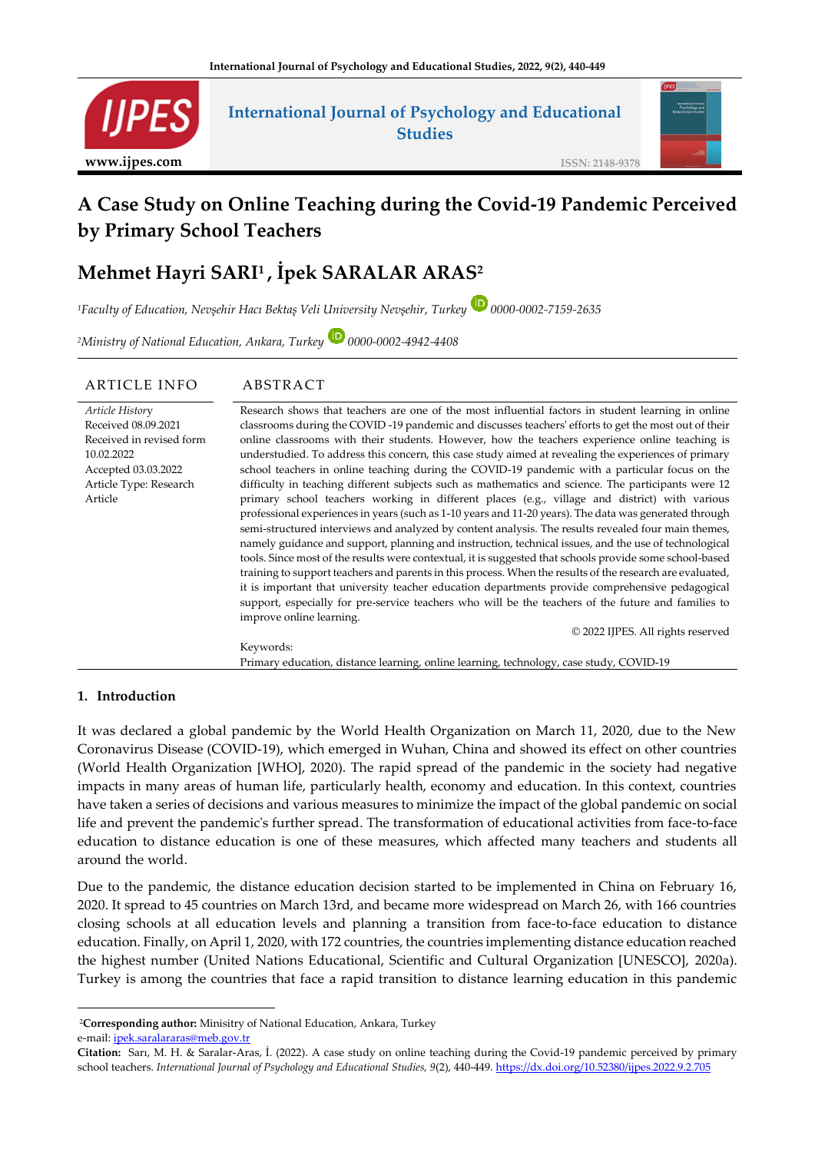

# **International Journal of Psychology and Educational Studies**



**ISSN: 2148-9378**

# **A Case Study on Online Teaching during the Covid-19 Pandemic Perceived by Primary School Teachers**

# **Mehmet Hayri SARI<sup>1</sup> , İpek SARALAR ARAS<sup>2</sup>**

*<sup>1</sup>Faculty of Education, Nevşehir Hacı Bektaş Veli University Nevşehir, Turkey 0000-0002-7159-2635*

*<sup>2</sup>Ministry of National Education, Ankara, Turkey 0000-0002-4942-4408*

| <b>ARTICLE INFO</b>      | ABSTRACT                                                                                                  |
|--------------------------|-----------------------------------------------------------------------------------------------------------|
| Article History          | Research shows that teachers are one of the most influential factors in student learning in online        |
| Received 08.09.2021      | classrooms during the COVID -19 pandemic and discusses teachers' efforts to get the most out of their     |
| Received in revised form | online classrooms with their students. However, how the teachers experience online teaching is            |
| 10.02.2022               | understudied. To address this concern, this case study aimed at revealing the experiences of primary      |
| Accepted 03.03.2022      | school teachers in online teaching during the COVID-19 pandemic with a particular focus on the            |
| Article Type: Research   | difficulty in teaching different subjects such as mathematics and science. The participants were 12       |
| Article                  | primary school teachers working in different places (e.g., village and district) with various             |
|                          | professional experiences in years (such as 1-10 years and 11-20 years). The data was generated through    |
|                          | semi-structured interviews and analyzed by content analysis. The results revealed four main themes,       |
|                          | namely guidance and support, planning and instruction, technical issues, and the use of technological     |
|                          | tools. Since most of the results were contextual, it is suggested that schools provide some school-based  |
|                          | training to support teachers and parents in this process. When the results of the research are evaluated, |
|                          | it is important that university teacher education departments provide comprehensive pedagogical           |
|                          | support, especially for pre-service teachers who will be the teachers of the future and families to       |
|                          | improve online learning.                                                                                  |
|                          | © 2022 IJPES. All rights reserved                                                                         |
|                          | Keywords:                                                                                                 |
|                          | Primary education, distance learning, online learning, technology, case study, COVID-19                   |

#### **1. Introduction**

It was declared a global pandemic by the World Health Organization on March 11, 2020, due to the New Coronavirus Disease (COVID-19), which emerged in Wuhan, China and showed its effect on other countries (World Health Organization [WHO], 2020). The rapid spread of the pandemic in the society had negative impacts in many areas of human life, particularly health, economy and education. In this context, countries have taken a series of decisions and various measures to minimize the impact of the global pandemic on social life and prevent the pandemic's further spread. The transformation of educational activities from face-to-face education to distance education is one of these measures, which affected many teachers and students all around the world.

Due to the pandemic, the distance education decision started to be implemented in China on February 16, 2020. It spread to 45 countries on March 13rd, and became more widespread on March 26, with 166 countries closing schools at all education levels and planning a transition from face-to-face education to distance education. Finally, on April 1, 2020, with 172 countries, the countries implementing distance education reached the highest number (United Nations Educational, Scientific and Cultural Organization [UNESCO], 2020a). Turkey is among the countries that face a rapid transition to distance learning education in this pandemic

<sup>2</sup>**Corresponding author:** Minisitry of National Education, Ankara, Turkey e-mail: [ipek.saralararas@meb.gov.tr](mailto:ipek.saralararas@meb.gov.tr)

**Citation:** Sarı, M. H. & Saralar-Aras, İ. (2022). A case study on online teaching during the Covid-19 pandemic perceived by primary school teachers. *International Journal of Psychology and Educational Studies, 9*(2), 440-449[. https://dx.doi.org/10.52380/ijpes.2022.9.2.705](https://dx.doi.org/10.52380/ijpes.2022.9.2.705)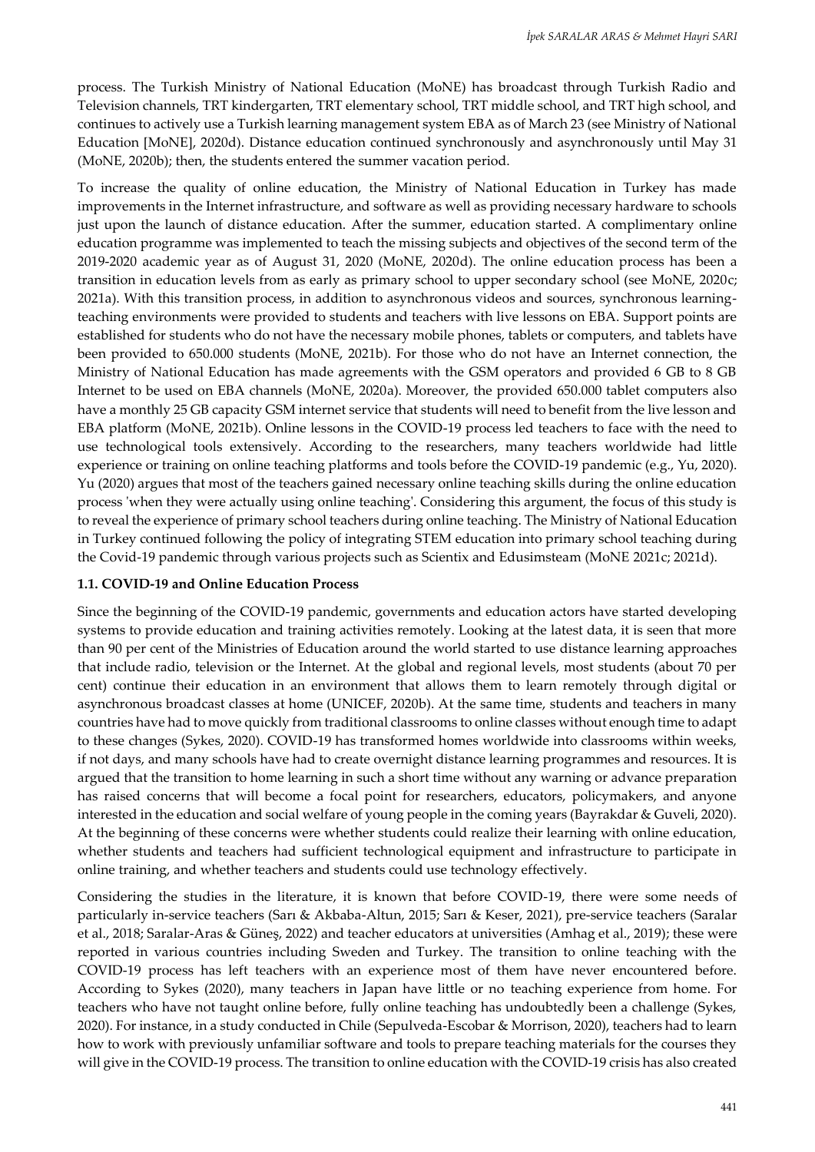process. The Turkish Ministry of National Education (MoNE) has broadcast through Turkish Radio and Television channels, TRT kindergarten, TRT elementary school, TRT middle school, and TRT high school, and continues to actively use a Turkish learning management system EBA as of March 23 (see Ministry of National Education [MoNE], 2020d). Distance education continued synchronously and asynchronously until May 31 (MoNE, 2020b); then, the students entered the summer vacation period.

To increase the quality of online education, the Ministry of National Education in Turkey has made improvements in the Internet infrastructure, and software as well as providing necessary hardware to schools just upon the launch of distance education. After the summer, education started. A complimentary online education programme was implemented to teach the missing subjects and objectives of the second term of the 2019-2020 academic year as of August 31, 2020 (MoNE, 2020d). The online education process has been a transition in education levels from as early as primary school to upper secondary school (see MoNE, 2020c; 2021a). With this transition process, in addition to asynchronous videos and sources, synchronous learningteaching environments were provided to students and teachers with live lessons on EBA. Support points are established for students who do not have the necessary mobile phones, tablets or computers, and tablets have been provided to 650.000 students (MoNE, 2021b). For those who do not have an Internet connection, the Ministry of National Education has made agreements with the GSM operators and provided 6 GB to 8 GB Internet to be used on EBA channels (MoNE, 2020a). Moreover, the provided 650.000 tablet computers also have a monthly 25 GB capacity GSM internet service that students will need to benefit from the live lesson and EBA platform (MoNE, 2021b). Online lessons in the COVID-19 process led teachers to face with the need to use technological tools extensively. According to the researchers, many teachers worldwide had little experience or training on online teaching platforms and tools before the COVID-19 pandemic (e.g., Yu, 2020). Yu (2020) argues that most of the teachers gained necessary online teaching skills during the online education process 'when they were actually using online teaching'. Considering this argument, the focus of this study is to reveal the experience of primary school teachers during online teaching. The Ministry of National Education in Turkey continued following the policy of integrating STEM education into primary school teaching during the Covid-19 pandemic through various projects such as Scientix and Edusimsteam (MoNE 2021c; 2021d).

# **1.1. COVID-19 and Online Education Process**

Since the beginning of the COVID-19 pandemic, governments and education actors have started developing systems to provide education and training activities remotely. Looking at the latest data, it is seen that more than 90 per cent of the Ministries of Education around the world started to use distance learning approaches that include radio, television or the Internet. At the global and regional levels, most students (about 70 per cent) continue their education in an environment that allows them to learn remotely through digital or asynchronous broadcast classes at home (UNICEF, 2020b). At the same time, students and teachers in many countries have had to move quickly from traditional classrooms to online classes without enough time to adapt to these changes (Sykes, 2020). COVID-19 has transformed homes worldwide into classrooms within weeks, if not days, and many schools have had to create overnight distance learning programmes and resources. It is argued that the transition to home learning in such a short time without any warning or advance preparation has raised concerns that will become a focal point for researchers, educators, policymakers, and anyone interested in the education and social welfare of young people in the coming years (Bayrakdar & Guveli, 2020). At the beginning of these concerns were whether students could realize their learning with online education, whether students and teachers had sufficient technological equipment and infrastructure to participate in online training, and whether teachers and students could use technology effectively.

Considering the studies in the literature, it is known that before COVID-19, there were some needs of particularly in-service teachers (Sarı & Akbaba-Altun, 2015; Sarı & Keser, 2021), pre-service teachers (Saralar et al., 2018; Saralar-Aras & Güneş, 2022) and teacher educators at universities (Amhag et al., 2019); these were reported in various countries including Sweden and Turkey. The transition to online teaching with the COVID-19 process has left teachers with an experience most of them have never encountered before. According to Sykes (2020), many teachers in Japan have little or no teaching experience from home. For teachers who have not taught online before, fully online teaching has undoubtedly been a challenge (Sykes, 2020). For instance, in a study conducted in Chile (Sepulveda-Escobar & Morrison, 2020), teachers had to learn how to work with previously unfamiliar software and tools to prepare teaching materials for the courses they will give in the COVID-19 process. The transition to online education with the COVID-19 crisis has also created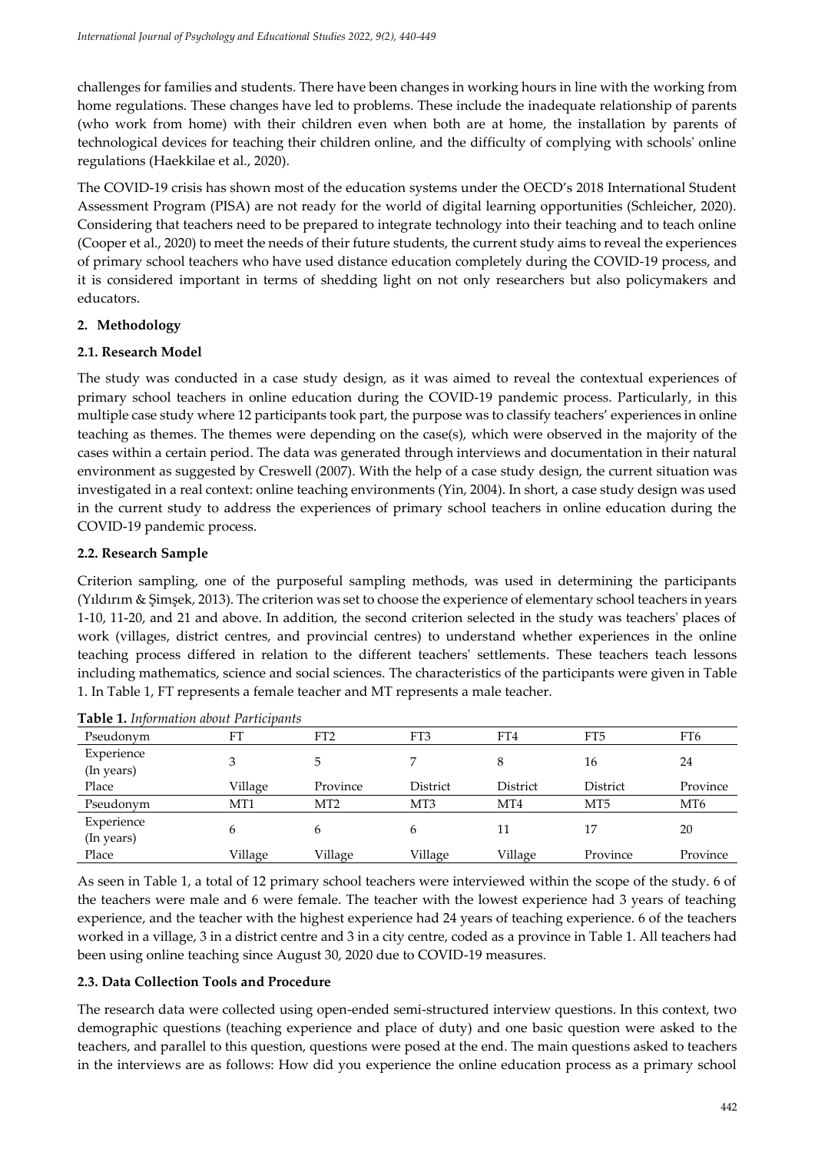challenges for families and students. There have been changes in working hours in line with the working from home regulations. These changes have led to problems. These include the inadequate relationship of parents (who work from home) with their children even when both are at home, the installation by parents of technological devices for teaching their children online, and the difficulty of complying with schools' online regulations (Haekkilae et al., 2020).

The COVID-19 crisis has shown most of the education systems under the OECD's 2018 International Student Assessment Program (PISA) are not ready for the world of digital learning opportunities (Schleicher, 2020). Considering that teachers need to be prepared to integrate technology into their teaching and to teach online (Cooper et al., 2020) to meet the needs of their future students, the current study aims to reveal the experiences of primary school teachers who have used distance education completely during the COVID-19 process, and it is considered important in terms of shedding light on not only researchers but also policymakers and educators.

# **2. Methodology**

# **2.1. Research Model**

The study was conducted in a case study design, as it was aimed to reveal the contextual experiences of primary school teachers in online education during the COVID-19 pandemic process. Particularly, in this multiple case study where 12 participants took part, the purpose was to classify teachers' experiences in online teaching as themes. The themes were depending on the case(s), which were observed in the majority of the cases within a certain period. The data was generated through interviews and documentation in their natural environment as suggested by Creswell (2007). With the help of a case study design, the current situation was investigated in a real context: online teaching environments (Yin, 2004). In short, a case study design was used in the current study to address the experiences of primary school teachers in online education during the COVID-19 pandemic process.

# **2.2. Research Sample**

Criterion sampling, one of the purposeful sampling methods, was used in determining the participants (Yıldırım & Şimşek, 2013). The criterion was set to choose the experience of elementary school teachers in years 1-10, 11-20, and 21 and above. In addition, the second criterion selected in the study was teachers' places of work (villages, district centres, and provincial centres) to understand whether experiences in the online teaching process differed in relation to the different teachers' settlements. These teachers teach lessons including mathematics, science and social sciences. The characteristics of the participants were given in Table 1. In Table 1, FT represents a female teacher and MT represents a male teacher.

| Pseudonym  | FT      | FT <sub>2</sub> | FT3             | FT4      | FT5             | FT6             |
|------------|---------|-----------------|-----------------|----------|-----------------|-----------------|
| Experience |         |                 |                 |          |                 |                 |
| (In years) |         |                 |                 | 8        | 16              | 24              |
| Place      | Village | Province        | District        | District | District        | Province        |
| Pseudonym  | MT1     | MT <sub>2</sub> | MT <sub>3</sub> | MT4      | MT <sub>5</sub> | MT <sub>6</sub> |
| Experience |         |                 |                 |          |                 |                 |
| (In years) | 6       |                 | 6               | 11       | 17              | 20              |
| Place      | Village | Village         | Village         | Village  | Province        | Province        |

As seen in Table 1, a total of 12 primary school teachers were interviewed within the scope of the study. 6 of the teachers were male and 6 were female. The teacher with the lowest experience had 3 years of teaching experience, and the teacher with the highest experience had 24 years of teaching experience. 6 of the teachers worked in a village, 3 in a district centre and 3 in a city centre, coded as a province in Table 1. All teachers had been using online teaching since August 30, 2020 due to COVID-19 measures.

# **2.3. Data Collection Tools and Procedure**

The research data were collected using open-ended semi-structured interview questions. In this context, two demographic questions (teaching experience and place of duty) and one basic question were asked to the teachers, and parallel to this question, questions were posed at the end. The main questions asked to teachers in the interviews are as follows: How did you experience the online education process as a primary school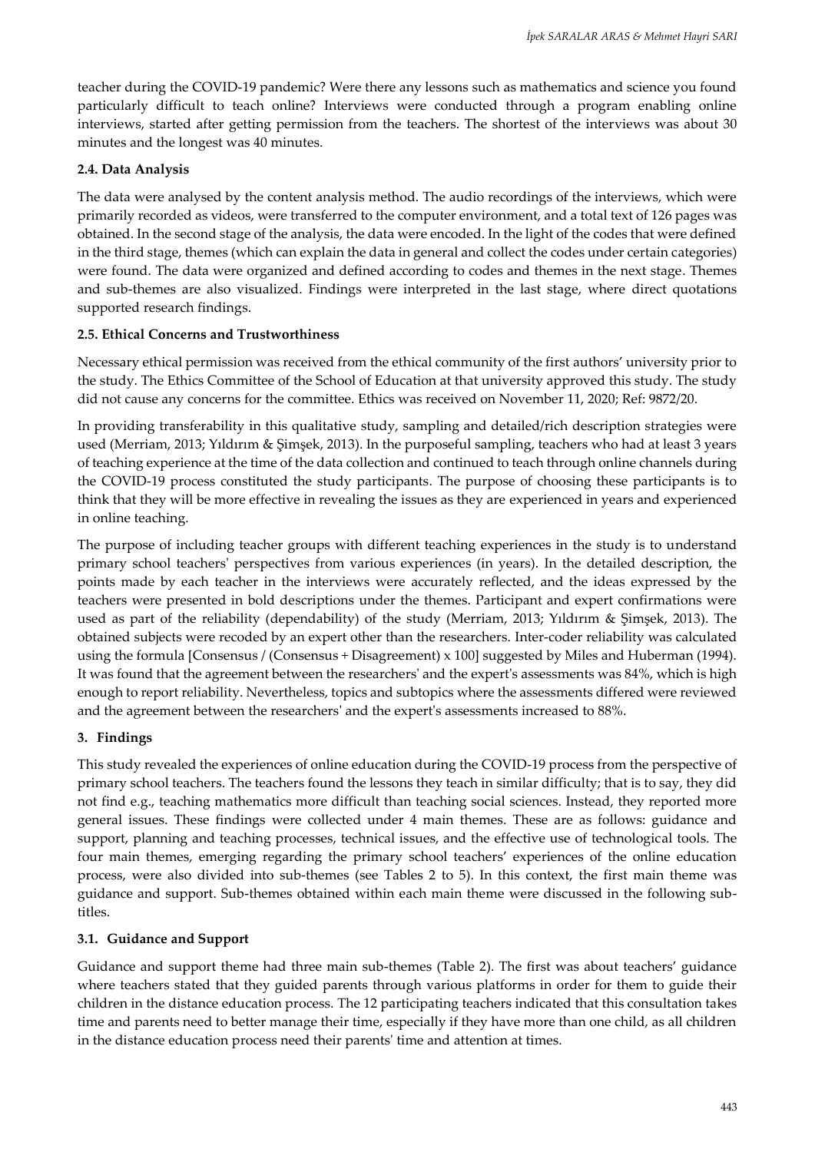teacher during the COVID-19 pandemic? Were there any lessons such as mathematics and science you found particularly difficult to teach online? Interviews were conducted through a program enabling online interviews, started after getting permission from the teachers. The shortest of the interviews was about 30 minutes and the longest was 40 minutes.

### **2.4. Data Analysis**

The data were analysed by the content analysis method. The audio recordings of the interviews, which were primarily recorded as videos, were transferred to the computer environment, and a total text of 126 pages was obtained. In the second stage of the analysis, the data were encoded. In the light of the codes that were defined in the third stage, themes (which can explain the data in general and collect the codes under certain categories) were found. The data were organized and defined according to codes and themes in the next stage. Themes and sub-themes are also visualized. Findings were interpreted in the last stage, where direct quotations supported research findings.

#### **2.5. Ethical Concerns and Trustworthiness**

Necessary ethical permission was received from the ethical community of the first authors' university prior to the study. The Ethics Committee of the School of Education at that university approved this study. The study did not cause any concerns for the committee. Ethics was received on November 11, 2020; Ref: 9872/20.

In providing transferability in this qualitative study, sampling and detailed/rich description strategies were used (Merriam, 2013; Yıldırım & Şimşek, 2013). In the purposeful sampling, teachers who had at least 3 years of teaching experience at the time of the data collection and continued to teach through online channels during the COVID-19 process constituted the study participants. The purpose of choosing these participants is to think that they will be more effective in revealing the issues as they are experienced in years and experienced in online teaching.

The purpose of including teacher groups with different teaching experiences in the study is to understand primary school teachers' perspectives from various experiences (in years). In the detailed description, the points made by each teacher in the interviews were accurately reflected, and the ideas expressed by the teachers were presented in bold descriptions under the themes. Participant and expert confirmations were used as part of the reliability (dependability) of the study (Merriam, 2013; Yıldırım & Şimşek, 2013). The obtained subjects were recoded by an expert other than the researchers. Inter-coder reliability was calculated using the formula [Consensus / (Consensus + Disagreement) x 100] suggested by Miles and Huberman (1994). It was found that the agreement between the researchers' and the expert's assessments was 84%, which is high enough to report reliability. Nevertheless, topics and subtopics where the assessments differed were reviewed and the agreement between the researchers' and the expert's assessments increased to 88%.

# **3. Findings**

This study revealed the experiences of online education during the COVID-19 process from the perspective of primary school teachers. The teachers found the lessons they teach in similar difficulty; that is to say, they did not find e.g., teaching mathematics more difficult than teaching social sciences. Instead, they reported more general issues. These findings were collected under 4 main themes. These are as follows: guidance and support, planning and teaching processes, technical issues, and the effective use of technological tools. The four main themes, emerging regarding the primary school teachers' experiences of the online education process, were also divided into sub-themes (see Tables 2 to 5). In this context, the first main theme was guidance and support. Sub-themes obtained within each main theme were discussed in the following subtitles.

# **3.1. Guidance and Support**

Guidance and support theme had three main sub-themes (Table 2). The first was about teachers' guidance where teachers stated that they guided parents through various platforms in order for them to guide their children in the distance education process. The 12 participating teachers indicated that this consultation takes time and parents need to better manage their time, especially if they have more than one child, as all children in the distance education process need their parents' time and attention at times.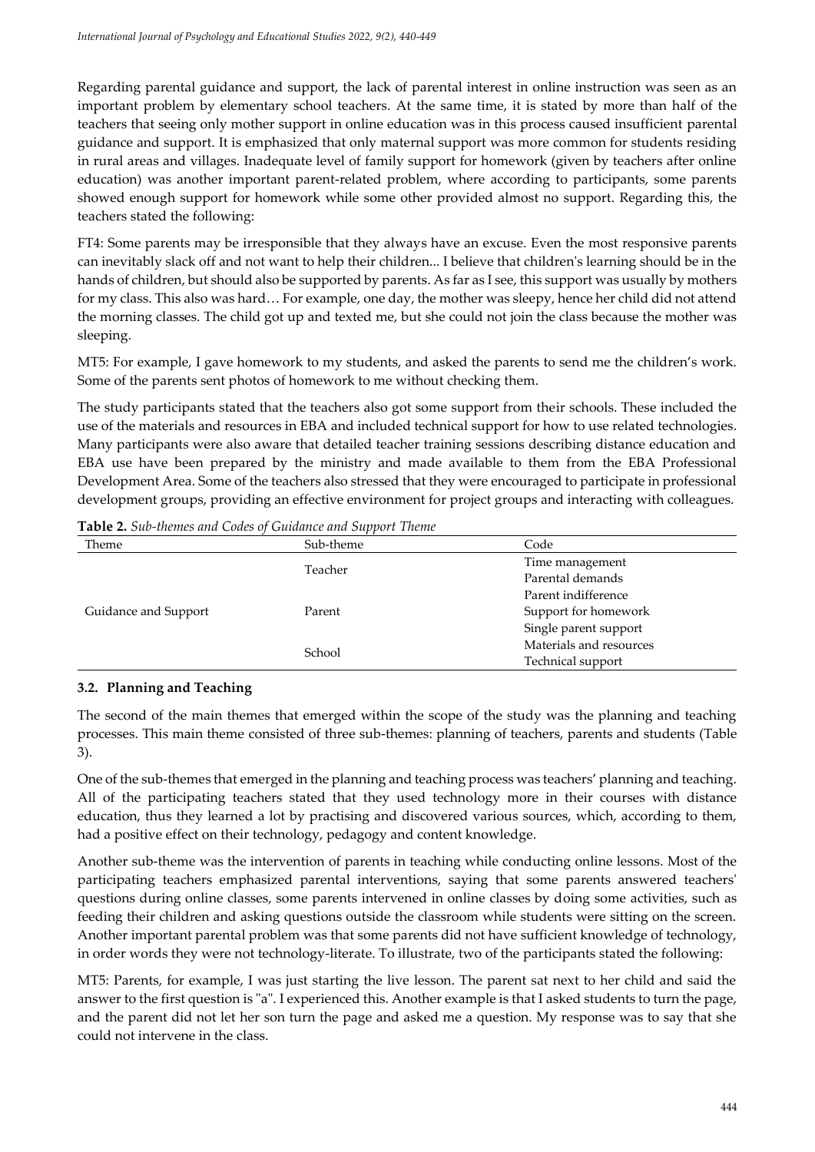Regarding parental guidance and support, the lack of parental interest in online instruction was seen as an important problem by elementary school teachers. At the same time, it is stated by more than half of the teachers that seeing only mother support in online education was in this process caused insufficient parental guidance and support. It is emphasized that only maternal support was more common for students residing in rural areas and villages. Inadequate level of family support for homework (given by teachers after online education) was another important parent-related problem, where according to participants, some parents showed enough support for homework while some other provided almost no support. Regarding this, the teachers stated the following:

FT4: Some parents may be irresponsible that they always have an excuse. Even the most responsive parents can inevitably slack off and not want to help their children... I believe that children's learning should be in the hands of children, but should also be supported by parents. As far as I see, this support was usually by mothers for my class. This also was hard… For example, one day, the mother was sleepy, hence her child did not attend the morning classes. The child got up and texted me, but she could not join the class because the mother was sleeping.

MT5: For example, I gave homework to my students, and asked the parents to send me the children's work. Some of the parents sent photos of homework to me without checking them.

The study participants stated that the teachers also got some support from their schools. These included the use of the materials and resources in EBA and included technical support for how to use related technologies. Many participants were also aware that detailed teacher training sessions describing distance education and EBA use have been prepared by the ministry and made available to them from the EBA Professional Development Area. Some of the teachers also stressed that they were encouraged to participate in professional development groups, providing an effective environment for project groups and interacting with colleagues.

| Theme                | Sub-theme | Code                    |  |
|----------------------|-----------|-------------------------|--|
|                      | Teacher   | Time management         |  |
|                      |           | Parental demands        |  |
|                      |           | Parent indifference     |  |
| Guidance and Support | Parent    | Support for homework    |  |
|                      |           | Single parent support   |  |
|                      | School    | Materials and resources |  |
|                      |           | Technical support       |  |

**Table 2.** *Sub-themes and Codes of Guidance and Support Theme*

# **3.2. Planning and Teaching**

The second of the main themes that emerged within the scope of the study was the planning and teaching processes. This main theme consisted of three sub-themes: planning of teachers, parents and students (Table 3).

One of the sub-themes that emerged in the planning and teaching process was teachers' planning and teaching. All of the participating teachers stated that they used technology more in their courses with distance education, thus they learned a lot by practising and discovered various sources, which, according to them, had a positive effect on their technology, pedagogy and content knowledge.

Another sub-theme was the intervention of parents in teaching while conducting online lessons. Most of the participating teachers emphasized parental interventions, saying that some parents answered teachers' questions during online classes, some parents intervened in online classes by doing some activities, such as feeding their children and asking questions outside the classroom while students were sitting on the screen. Another important parental problem was that some parents did not have sufficient knowledge of technology, in order words they were not technology-literate. To illustrate, two of the participants stated the following:

MT5: Parents, for example, I was just starting the live lesson. The parent sat next to her child and said the answer to the first question is "a". I experienced this. Another example is that I asked students to turn the page, and the parent did not let her son turn the page and asked me a question. My response was to say that she could not intervene in the class.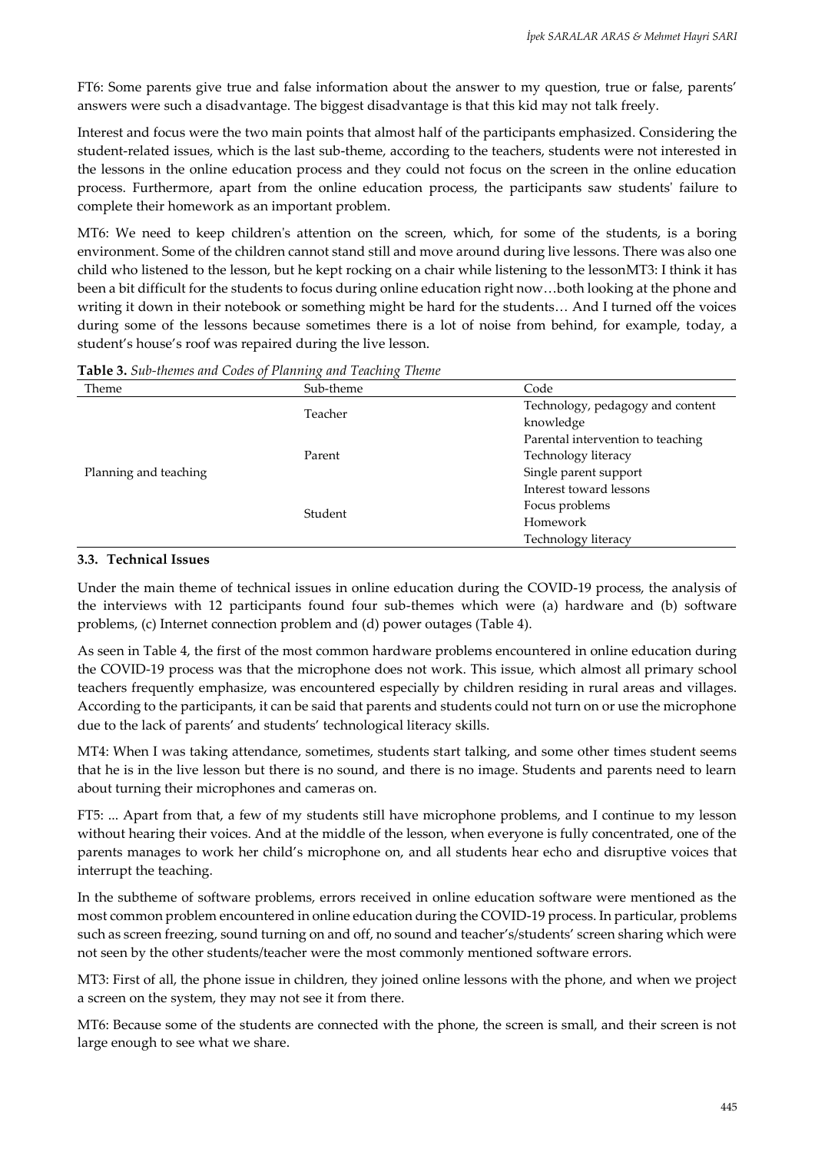FT6: Some parents give true and false information about the answer to my question, true or false, parents' answers were such a disadvantage. The biggest disadvantage is that this kid may not talk freely.

Interest and focus were the two main points that almost half of the participants emphasized. Considering the student-related issues, which is the last sub-theme, according to the teachers, students were not interested in the lessons in the online education process and they could not focus on the screen in the online education process. Furthermore, apart from the online education process, the participants saw students' failure to complete their homework as an important problem.

MT6: We need to keep children's attention on the screen, which, for some of the students, is a boring environment. Some of the children cannot stand still and move around during live lessons. There was also one child who listened to the lesson, but he kept rocking on a chair while listening to the lessonMT3: I think it has been a bit difficult for the students to focus during online education right now…both looking at the phone and writing it down in their notebook or something might be hard for the students… And I turned off the voices during some of the lessons because sometimes there is a lot of noise from behind, for example, today, a student's house's roof was repaired during the live lesson.

| Theme                                                 | Sub-theme | Code                              |  |
|-------------------------------------------------------|-----------|-----------------------------------|--|
| Teacher<br>Parent<br>Planning and teaching<br>Student |           | Technology, pedagogy and content  |  |
|                                                       |           | knowledge                         |  |
|                                                       |           | Parental intervention to teaching |  |
|                                                       |           | Technology literacy               |  |
|                                                       |           | Single parent support             |  |
|                                                       |           | Interest toward lessons           |  |
|                                                       |           | Focus problems                    |  |
|                                                       |           | Homework                          |  |
|                                                       |           | Technology literacy               |  |

**Table 3.** *Sub-themes and Codes of Planning and Teaching Theme*

# **3.3. Technical Issues**

Under the main theme of technical issues in online education during the COVID-19 process, the analysis of the interviews with 12 participants found four sub-themes which were (a) hardware and (b) software problems, (c) Internet connection problem and (d) power outages (Table 4).

As seen in Table 4, the first of the most common hardware problems encountered in online education during the COVID-19 process was that the microphone does not work. This issue, which almost all primary school teachers frequently emphasize, was encountered especially by children residing in rural areas and villages. According to the participants, it can be said that parents and students could not turn on or use the microphone due to the lack of parents' and students' technological literacy skills.

MT4: When I was taking attendance, sometimes, students start talking, and some other times student seems that he is in the live lesson but there is no sound, and there is no image. Students and parents need to learn about turning their microphones and cameras on.

FT5: ... Apart from that, a few of my students still have microphone problems, and I continue to my lesson without hearing their voices. And at the middle of the lesson, when everyone is fully concentrated, one of the parents manages to work her child's microphone on, and all students hear echo and disruptive voices that interrupt the teaching.

In the subtheme of software problems, errors received in online education software were mentioned as the most common problem encountered in online education during the COVID-19 process. In particular, problems such as screen freezing, sound turning on and off, no sound and teacher's/students' screen sharing which were not seen by the other students/teacher were the most commonly mentioned software errors.

MT3: First of all, the phone issue in children, they joined online lessons with the phone, and when we project a screen on the system, they may not see it from there.

MT6: Because some of the students are connected with the phone, the screen is small, and their screen is not large enough to see what we share.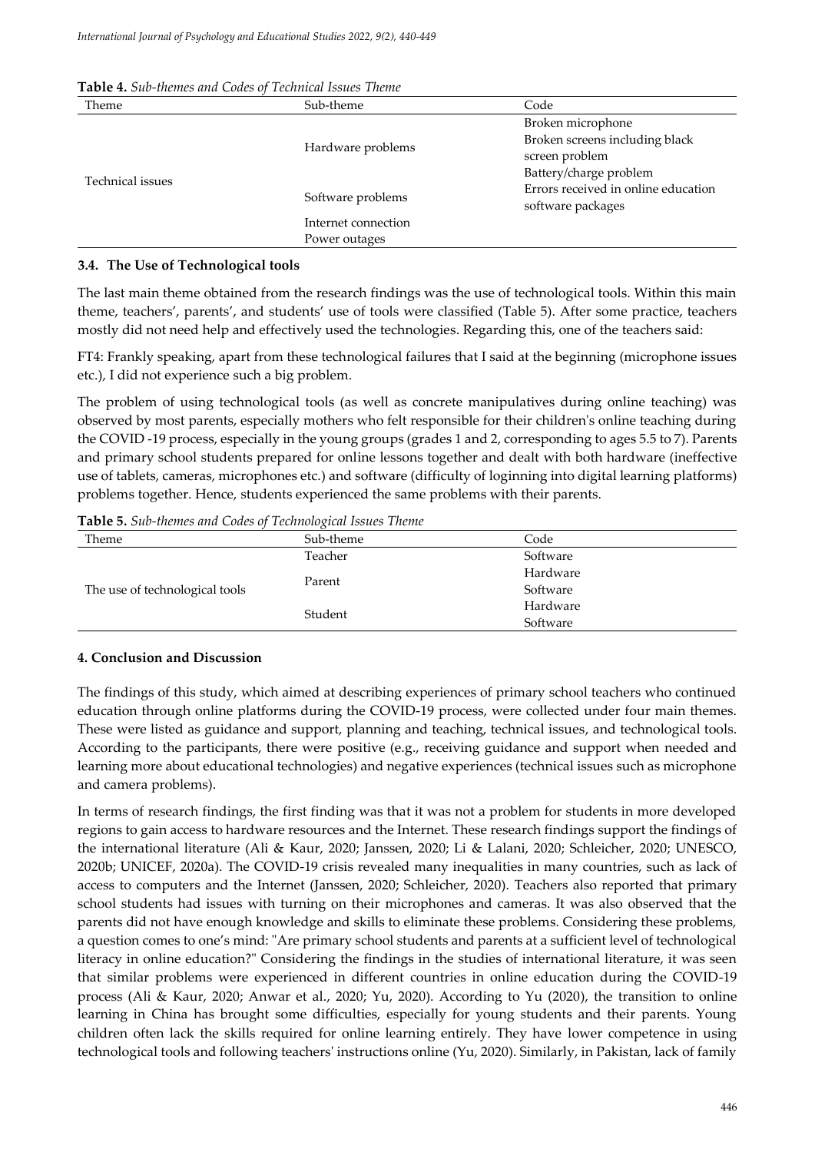| Theme            | Sub-theme           | Code                                                     |  |
|------------------|---------------------|----------------------------------------------------------|--|
| Technical issues |                     | Broken microphone                                        |  |
|                  | Hardware problems   | Broken screens including black                           |  |
|                  |                     | screen problem                                           |  |
|                  |                     | Battery/charge problem                                   |  |
|                  | Software problems   | Errors received in online education<br>software packages |  |
|                  | Internet connection |                                                          |  |
|                  | Power outages       |                                                          |  |

**Table 4.** *Sub-themes and Codes of Technical Issues Theme*

### **3.4. The Use of Technological tools**

The last main theme obtained from the research findings was the use of technological tools. Within this main theme, teachers', parents', and students' use of tools were classified (Table 5). After some practice, teachers mostly did not need help and effectively used the technologies. Regarding this, one of the teachers said:

FT4: Frankly speaking, apart from these technological failures that I said at the beginning (microphone issues etc.), I did not experience such a big problem.

The problem of using technological tools (as well as concrete manipulatives during online teaching) was observed by most parents, especially mothers who felt responsible for their children's online teaching during the COVID -19 process, especially in the young groups (grades 1 and 2, corresponding to ages 5.5 to 7). Parents and primary school students prepared for online lessons together and dealt with both hardware (ineffective use of tablets, cameras, microphones etc.) and software (difficulty of loginning into digital learning platforms) problems together. Hence, students experienced the same problems with their parents.

**Table 5.** *Sub-themes and Codes of Technological Issues Theme* Theme Sub-theme Code

| Theme                          | Sub-theme | Code     |  |
|--------------------------------|-----------|----------|--|
|                                | Teacher   | Software |  |
|                                | Parent    | Hardware |  |
| The use of technological tools |           | Software |  |
|                                | Student   | Hardware |  |
|                                |           | Software |  |

# **4. Conclusion and Discussion**

The findings of this study, which aimed at describing experiences of primary school teachers who continued education through online platforms during the COVID-19 process, were collected under four main themes. These were listed as guidance and support, planning and teaching, technical issues, and technological tools. According to the participants, there were positive (e.g., receiving guidance and support when needed and learning more about educational technologies) and negative experiences (technical issues such as microphone and camera problems).

In terms of research findings, the first finding was that it was not a problem for students in more developed regions to gain access to hardware resources and the Internet. These research findings support the findings of the international literature (Ali & Kaur, 2020; Janssen, 2020; Li & Lalani, 2020; Schleicher, 2020; UNESCO, 2020b; UNICEF, 2020a). The COVID-19 crisis revealed many inequalities in many countries, such as lack of access to computers and the Internet (Janssen, 2020; Schleicher, 2020). Teachers also reported that primary school students had issues with turning on their microphones and cameras. It was also observed that the parents did not have enough knowledge and skills to eliminate these problems. Considering these problems, a question comes to one's mind: "Are primary school students and parents at a sufficient level of technological literacy in online education?" Considering the findings in the studies of international literature, it was seen that similar problems were experienced in different countries in online education during the COVID-19 process (Ali & Kaur, 2020; Anwar et al., 2020; Yu, 2020). According to Yu (2020), the transition to online learning in China has brought some difficulties, especially for young students and their parents. Young children often lack the skills required for online learning entirely. They have lower competence in using technological tools and following teachers' instructions online (Yu, 2020). Similarly, in Pakistan, lack of family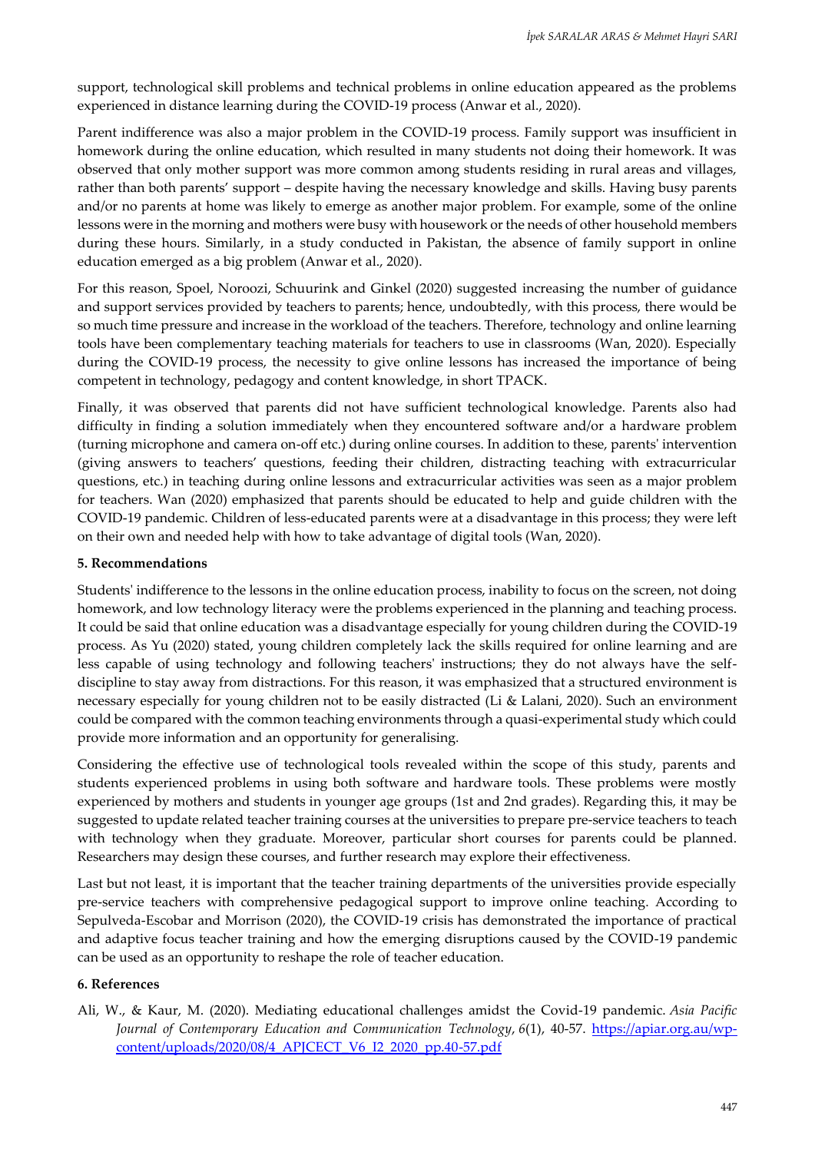support, technological skill problems and technical problems in online education appeared as the problems experienced in distance learning during the COVID-19 process (Anwar et al., 2020).

Parent indifference was also a major problem in the COVID-19 process. Family support was insufficient in homework during the online education, which resulted in many students not doing their homework. It was observed that only mother support was more common among students residing in rural areas and villages, rather than both parents' support – despite having the necessary knowledge and skills. Having busy parents and/or no parents at home was likely to emerge as another major problem. For example, some of the online lessons were in the morning and mothers were busy with housework or the needs of other household members during these hours. Similarly, in a study conducted in Pakistan, the absence of family support in online education emerged as a big problem (Anwar et al., 2020).

For this reason, Spoel, Noroozi, Schuurink and Ginkel (2020) suggested increasing the number of guidance and support services provided by teachers to parents; hence, undoubtedly, with this process, there would be so much time pressure and increase in the workload of the teachers. Therefore, technology and online learning tools have been complementary teaching materials for teachers to use in classrooms (Wan, 2020). Especially during the COVID-19 process, the necessity to give online lessons has increased the importance of being competent in technology, pedagogy and content knowledge, in short TPACK.

Finally, it was observed that parents did not have sufficient technological knowledge. Parents also had difficulty in finding a solution immediately when they encountered software and/or a hardware problem (turning microphone and camera on-off etc.) during online courses. In addition to these, parents' intervention (giving answers to teachers' questions, feeding their children, distracting teaching with extracurricular questions, etc.) in teaching during online lessons and extracurricular activities was seen as a major problem for teachers. Wan (2020) emphasized that parents should be educated to help and guide children with the COVID-19 pandemic. Children of less-educated parents were at a disadvantage in this process; they were left on their own and needed help with how to take advantage of digital tools (Wan, 2020).

# **5. Recommendations**

Students' indifference to the lessons in the online education process, inability to focus on the screen, not doing homework, and low technology literacy were the problems experienced in the planning and teaching process. It could be said that online education was a disadvantage especially for young children during the COVID-19 process. As Yu (2020) stated, young children completely lack the skills required for online learning and are less capable of using technology and following teachers' instructions; they do not always have the selfdiscipline to stay away from distractions. For this reason, it was emphasized that a structured environment is necessary especially for young children not to be easily distracted (Li & Lalani, 2020). Such an environment could be compared with the common teaching environments through a quasi-experimental study which could provide more information and an opportunity for generalising.

Considering the effective use of technological tools revealed within the scope of this study, parents and students experienced problems in using both software and hardware tools. These problems were mostly experienced by mothers and students in younger age groups (1st and 2nd grades). Regarding this, it may be suggested to update related teacher training courses at the universities to prepare pre-service teachers to teach with technology when they graduate. Moreover, particular short courses for parents could be planned. Researchers may design these courses, and further research may explore their effectiveness.

Last but not least, it is important that the teacher training departments of the universities provide especially pre-service teachers with comprehensive pedagogical support to improve online teaching. According to Sepulveda-Escobar and Morrison (2020), the COVID-19 crisis has demonstrated the importance of practical and adaptive focus teacher training and how the emerging disruptions caused by the COVID-19 pandemic can be used as an opportunity to reshape the role of teacher education.

# **6. References**

Ali, W., & Kaur, M. (2020). Mediating educational challenges amidst the Covid-19 pandemic. *Asia Pacific Journal of Contemporary Education and Communication Technology*, *6*(1), 40-57. [https://apiar.org.au/wp](https://apiar.org.au/wp-content/uploads/2020/08/4_APJCECT_V6_I2_2020_pp.40-57.pdf)[content/uploads/2020/08/4\\_APJCECT\\_V6\\_I2\\_2020\\_pp.40-57.pdf](https://apiar.org.au/wp-content/uploads/2020/08/4_APJCECT_V6_I2_2020_pp.40-57.pdf)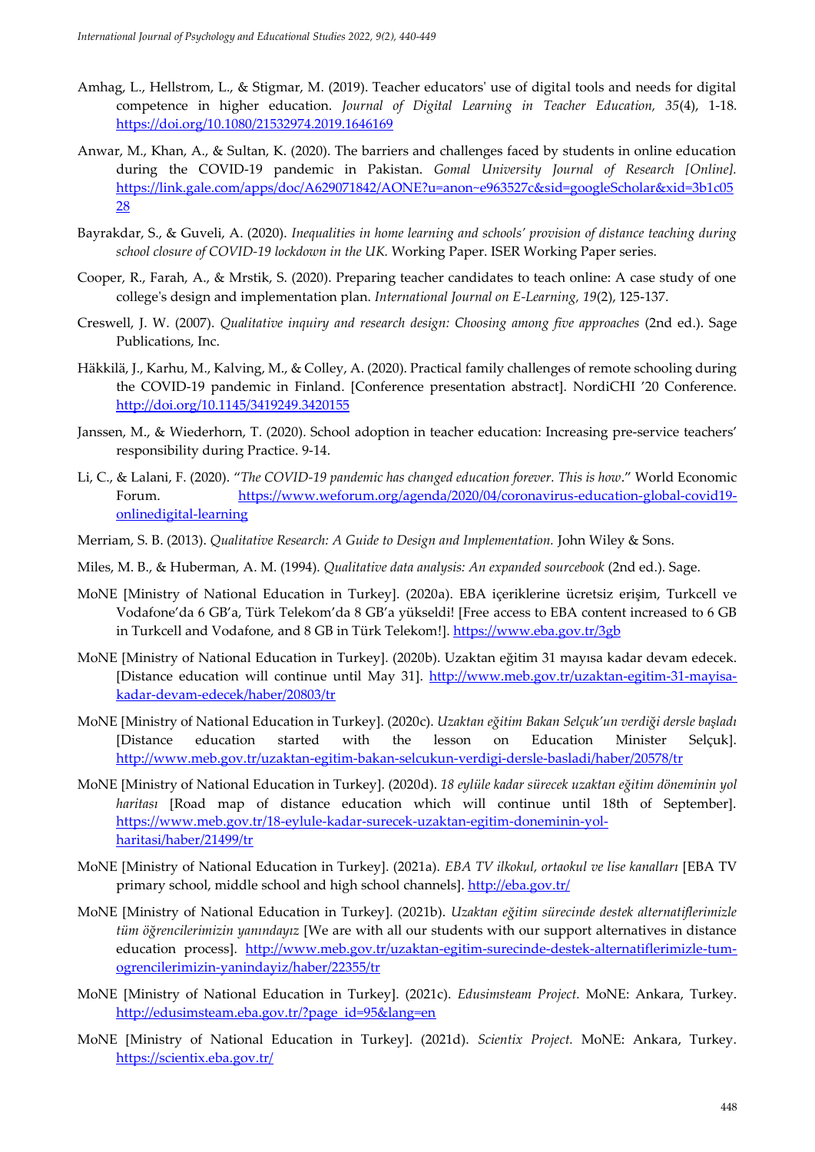- Amhag, L., Hellstrom, L., & Stigmar, M. (2019). Teacher educators' use of digital tools and needs for digital competence in higher education. *Journal of Digital Learning in Teacher Education, 35*(4), 1-18. <https://doi.org/10.1080/21532974.2019.1646169>
- Anwar, M., Khan, A., & Sultan, K. (2020). The barriers and challenges faced by students in online education during the COVID-19 pandemic in Pakistan. *Gomal University Journal of Research [Online].* [https://link.gale.com/apps/doc/A629071842/AONE?u=anon~e963527c&sid=googleScholar&xid=3b1c05](https://link.gale.com/apps/doc/A629071842/AONE?u=anon~e963527c&sid=googleScholar&xid=3b1c0528) [28](https://link.gale.com/apps/doc/A629071842/AONE?u=anon~e963527c&sid=googleScholar&xid=3b1c0528)
- Bayrakdar, S., & Guveli, A. (2020). *Inequalities in home learning and schools' provision of distance teaching during school closure of COVID-19 lockdown in the UK.* Working Paper. ISER Working Paper series.
- Cooper, R., Farah, A., & Mrstik, S. (2020). Preparing teacher candidates to teach online: A case study of one college's design and implementation plan. *International Journal on E-Learning, 19*(2), 125-137.
- Creswell, J. W. (2007). *Qualitative inquiry and research design: Choosing among five approaches* (2nd ed.). Sage Publications, Inc.
- Häkkilä, J., Karhu, M., Kalving, M., & Colley, A. (2020). Practical family challenges of remote schooling during the COVID-19 pandemic in Finland. [Conference presentation abstract]. NordiCHI '20 Conference. <http://doi.org/10.1145/3419249.3420155>
- Janssen, M., & Wiederhorn, T. (2020). School adoption in teacher education: Increasing pre-service teachers' responsibility during Practice. 9-14.
- Li, C., & Lalani, F. (2020). "*The COVID-19 pandemic has changed education forever. This is how*." World Economic Forum. [https://www.weforum.org/agenda/2020/04/coronavirus-education-global-covid19](https://www.weforum.org/agenda/2020/04/coronavirus-education-global-covid19-onlinedigital-learning) [onlinedigital-learning](https://www.weforum.org/agenda/2020/04/coronavirus-education-global-covid19-onlinedigital-learning)
- Merriam, S. B. (2013). *Qualitative Research: A Guide to Design and Implementation.* John Wiley & Sons.
- Miles, M. B., & Huberman, A. M. (1994). *Qualitative data analysis: An expanded sourcebook* (2nd ed.). Sage.
- MoNE [Ministry of National Education in Turkey]. (2020a). EBA içeriklerine ücretsiz erişim, Turkcell ve Vodafone'da 6 GB'a, Türk Telekom'da 8 GB'a yükseldi! [Free access to EBA content increased to 6 GB in Turkcell and Vodafone, and 8 GB in Türk Telekom!].<https://www.eba.gov.tr/3gb>
- MoNE [Ministry of National Education in Turkey]. (2020b). Uzaktan eğitim 31 mayısa kadar devam edecek. [Distance education will continue until May 31]. [http://www.meb.gov.tr/uzaktan-egitim-31-mayisa](http://www.meb.gov.tr/uzaktan-egitim-31-mayisa-kadar-devam-edecek/haber/20803/tr)[kadar-devam-edecek/haber/20803/tr](http://www.meb.gov.tr/uzaktan-egitim-31-mayisa-kadar-devam-edecek/haber/20803/tr)
- MoNE [Ministry of National Education in Turkey]. (2020c). *Uzaktan eğitim Bakan Selçuk'un verdiği dersle başladı* [Distance education started with the lesson on Education Minister Selçuk]. <http://www.meb.gov.tr/uzaktan-egitim-bakan-selcukun-verdigi-dersle-basladi/haber/20578/tr>
- MoNE [Ministry of National Education in Turkey]. (2020d). *18 eylüle kadar sürecek uzaktan eğitim döneminin yol haritası* [Road map of distance education which will continue until 18th of September]. [https://www.meb.gov.tr/18-eylule-kadar-surecek-uzaktan-egitim-doneminin-yol](https://www.meb.gov.tr/18-eylule-kadar-surecek-uzaktan-egitim-doneminin-yol-haritasi/haber/21499/tr)[haritasi/haber/21499/tr](https://www.meb.gov.tr/18-eylule-kadar-surecek-uzaktan-egitim-doneminin-yol-haritasi/haber/21499/tr)
- MoNE [Ministry of National Education in Turkey]. (2021a). *EBA TV ilkokul, ortaokul ve lise kanalları* [EBA TV primary school, middle school and high school channels].<http://eba.gov.tr/>
- MoNE [Ministry of National Education in Turkey]. (2021b). *Uzaktan eğitim sürecinde destek alternatiflerimizle tüm öğrencilerimizin yanındayız* [We are with all our students with our support alternatives in distance education process]. [http://www.meb.gov.tr/uzaktan-egitim-surecinde-destek-alternatiflerimizle-tum](http://www.meb.gov.tr/uzaktan-egitim-surecinde-destek-alternatiflerimizle-tum-ogrencilerimizin-yanindayiz/haber/22355/tr)[ogrencilerimizin-yanindayiz/haber/22355/tr](http://www.meb.gov.tr/uzaktan-egitim-surecinde-destek-alternatiflerimizle-tum-ogrencilerimizin-yanindayiz/haber/22355/tr)
- MoNE [Ministry of National Education in Turkey]. (2021c). *Edusimsteam Project.* MoNE: Ankara, Turkey. [http://edusimsteam.eba.gov.tr/?page\\_id=95&lang=en](http://edusimsteam.eba.gov.tr/?page_id=95&lang=en)
- MoNE [Ministry of National Education in Turkey]. (2021d). *Scientix Project.* MoNE: Ankara, Turkey. <https://scientix.eba.gov.tr/>